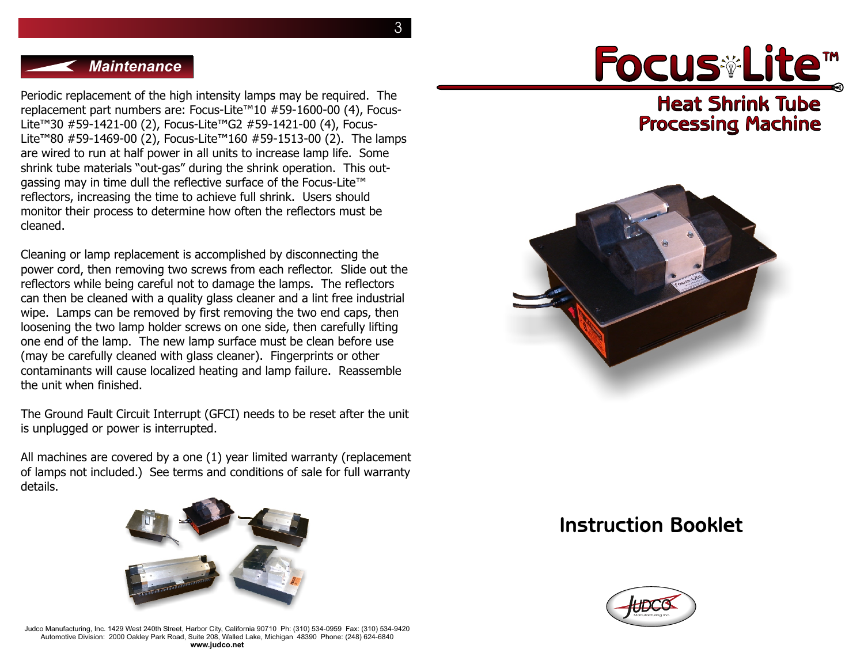3

#### *Maintenance*

Periodic replacement of the high intensity lamps may be required. The replacement part numbers are: Focus-Lite™10 #59-1600-00 (4), Focus-Lite™30 #59-1421-00 (2), Focus-Lite™G2 #59-1421-00 (4), Focus-Lite™80 #59-1469-00 (2), Focus-Lite™160 #59-1513-00 (2). The lamps are wired to run at half power in all units to increase lamp life. Some shrink tube materials "out-gas" during the shrink operation. This outgassing may in time dull the reflective surface of the Focus-Lite™ reflectors, increasing the time to achieve full shrink. Users should monitor their process to determine how often the reflectors must be cleaned.

Cleaning or lamp replacement is accomplished by disconnecting the power cord, then removing two screws from each reflector. Slide out the reflectors while being careful not to damage the lamps. The reflectors can then be cleaned with a quality glass cleaner and a lint free industrial wipe. Lamps can be removed by first removing the two end caps, then loosening the two lamp holder screws on one side, then carefully lifting one end of the lamp. The new lamp surface must be clean before use (may be carefully cleaned with glass cleaner). Fingerprints or other contaminants will cause localized heating and lamp failure. Reassemble the unit when finished.

The Ground Fault Circuit Interrupt (GFCI) needs to be reset after the unit is unplugged or power is interrupted.

All machines are covered by a one (1) year limited warranty (replacement of lamps not included.) See terms and conditions of sale for full warranty details.



Judco Manufacturing, Inc. 1429 West 240th Street, Harbor City, California 90710 Ph: (310) 534-0959 Fax: (310) 534-9420 Automotive Division: 2000 Oakley Park Road, Suite 208, Walled Lake, Michigan 48390 Phone: (248) 624-6840 **www.judco.net**

# **Heat Shrink Tube** Focus Lite™

# **Processing Machine**



# **Instruction Booklet**